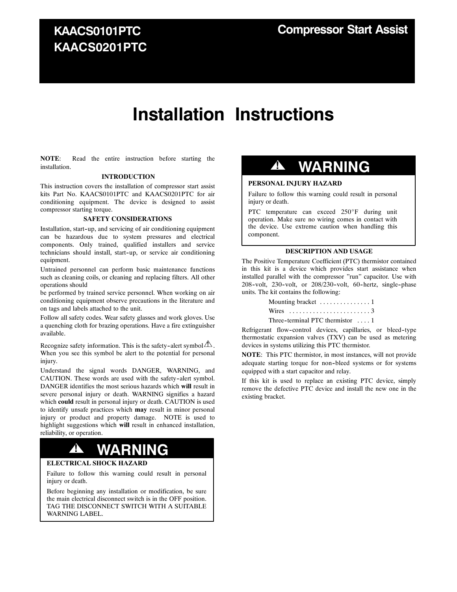### **KAACS0101PTC KAACS0201PTC**

# **Installation Instructions**

**NOTE**: Read the entire instruction before starting the installation.

### **INTRODUCTION**

This instruction covers the installation of compressor start assist kits Part No. KAACS0101PTC and KAACS0201PTC for air conditioning equipment. The device is designed to assist compressor starting torque.

#### **SAFETY CONSIDERATIONS**

Installation, start-up, and servicing of air conditioning equipment can be hazardous due to system pressures and electrical components. Only trained, qualified installers and service technicians should install, start--up, or service air conditioning equipment.

Untrained personnel can perform basic maintenance functions such as cleaning coils, or cleaning and replacing filters. All other operations should

be performed by trained service personnel. When working on air conditioning equipment observe precautions in the literature and on tags and labels attached to the unit.

Follow all safety codes. Wear safety glasses and work gloves. Use a quenching cloth for brazing operations. Have a fire extinguisher available.

Recognize safety information. This is the safety-alert symbol  $\triangle$ . When you see this symbol be alert to the potential for personal injury.

Understand the signal words DANGER, WARNING, and CAUTION. These words are used with the safety-alert symbol. DANGER identifies the most serious hazards which **will** result in severe personal injury or death. WARNING signifies a hazard which **could** result in personal injury or death. CAUTION is used to identify unsafe practices which **may** result in minor personal injury or product and property damage. NOTE is used to highlight suggestions which **will** result in enhanced installation, reliability, or operation.

## **! WARNING**

### **ELECTRICAL SHOCK HAZARD**

Failure to follow this warning could result in personal injury or death.

Before beginning any installation or modification, be sure the main electrical disconnect switch is in the OFF position. TAG THE DISCONNECT SWITCH WITH A SUITABLE WARNING LABEL.

### **! WARNING**

### **PERSONAL INJURY HAZARD**

Failure to follow this warning could result in personal injury or death.

PTC temperature can exceed 250°F during unit operation. Make sure no wiring comes in contact with the device. Use extreme caution when handling this component.

### **DESCRIPTION AND USAGE**

The Positive Temperature Coefficient (PTC) thermistor contained in this kit is a device which provides start assistance when installed parallel with the compressor "run" capacitor. Use with 208-volt, 230-volt, or 208/230-volt, 60-hertz, single-phase units. The kit contains the following:

| Mounting bracket 1                      |
|-----------------------------------------|
|                                         |
| Three-terminal PTC thermistor $\dots$ 1 |

Refrigerant flow-control devices, capillaries, or bleed-type thermostatic expansion valves (TXV) can be used as metering devices in systems utilizing this PTC thermistor.

**NOTE**: This PTC thermistor, in most instances, will not provide adequate starting torque for non-bleed systems or for systems equipped with a start capacitor and relay.

If this kit is used to replace an existing PTC device, simply remove the defective PTC device and install the new one in the existing bracket.